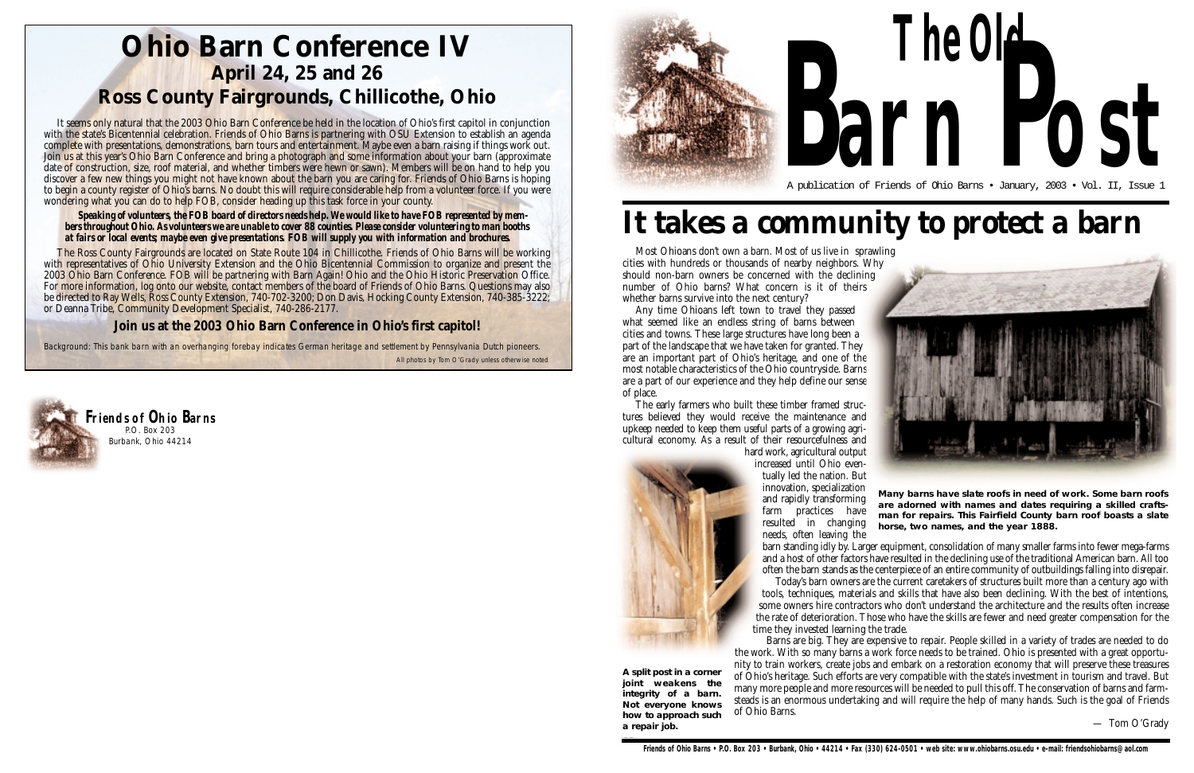### **Ohio Barn Conference IV April 24, 25 and 26 Ross County Fairgrounds, Chillicothe, Ohio**

*Background: This bank barn with an overhanging forebay indicates German heritage and settlement by Pennsylvania Dutch pioneers.*

Most Ohioans don't own a barn. Most of us live in sprawling cities with hundreds or thousands of nearby neighbors. Why should non-barn owners be concerned with the declining number of Ohio barns? What concern is it of theirs whether barns survive into the next century?

Any time Ohioans left town to travel they passed what seemed like an endless string of barns between cities and towns. These large structures have long been a part of the landscape that we have taken for granted. They are an important part of Ohio's heritage, and one of the most notable characteristics of the Ohio countryside. Barns are a part of our experience and they help define our sense of place.

The early farmers who built these timber framed structures believed they would receive the maintenance and upkeep needed to keep them useful parts of a growing agricultural economy. As a result of their resourcefulness and hard work, agricultural output



increased until Ohio eventually led the nation. But innovation, specialization and rapidly transforming farm practices have resulted in changing needs, often leaving the

barn standing idly by. Larger equipment, consolidation of many smaller farms into fewer mega-farms and a host of other factors have resulted in the declining use of the traditional American barn. All too often the barn stands as the centerpiece of an entire community of outbuildings falling into disrepair. Today's barn owners are the current caretakers of structures built more than a century ago with tools, techniques, materials and skills that have also been declining. With the best of intentions, some owners hire contractors who don't understand the architecture and the results often increase the rate of deterioration. Those who have the skills are fewer and need greater compensation for the time they invested learning the trade.

Barns are big. They are expensive to repair. People skilled in a variety of trades are needed to do the work. With so many barns a work force needs to be trained. Ohio is presented with a great opportunity to train workers, create jobs and embark on a restoration economy that will preserve these treasures of Ohio's heritage. Such efforts are very compatible with the state's investment in tourism and travel. But many more people and more resources will be needed to pull this off. The conservation of barns and farmsteads is an enormous undertaking and will require the help of many hands. Such is the goal of Friends of Ohio Barns.

— Tom O'Grady

**A split post in a corner joint weakens the integrity of a barn. Not everyone knows how to approach such a repair job.**

# *It takes a community to protect a barn*

**Many barns have slate roofs in need of work. Some barn roofs are adorned with names and dates requiring a skilled craftsman for repairs. This Fairfield County barn roof boasts a slate horse, two names, and the year 1888.**

It seems only natural that the 2003 Ohio Barn Conference be held in the location of Ohio's first capitol in conjunction with the state's Bicentennial celebration. Friends of Ohio Barns is partnering with OSU Extension to establish an agenda complete with presentations, demonstrations, barn tours and entertainment. Maybe even a barn raising if things work out. Join us at this year's Ohio Barn Conference and bring a photograph and some information about your barn (approximate date of construction, size, roof material, and whether timbers were hewn or sawn). Members will be on hand to help you discover a few new things you might not have known about the barn you are caring for. Friends of Ohio Barns is hoping to begin a county register of Ohio's barns. No doubt this will require considerable help from a volunteer force. If you were wondering what you can do to help FOB, consider heading up this task force in your county.

#### *Speaking of volunteers, the FOB board of directors needs help. We would like to have FOB represented by members throughout Ohio. As volunteers we are unable to cover 88 counties. Please consider volunteering to man booths at fairs or local events; maybe even give presentations. FOB will supply you with information and brochures.*

The Ross County Fairgrounds are located on State Route 104 in Chillicothe. Friends of Ohio Barns will be working with representatives of Ohio University Extension and the Ohio Bicentennial Commission to organize and present the 2003 Ohio Barn Conference. FOB will be partnering with Barn Again! Ohio and the Ohio Historic Preservation Office. For more information, log onto our website, contact members of the board of Friends of Ohio Barns. Questions may also be directed to Ray Wells, Ross County Extension, 740-702-3200; Don Davis, Hocking County Extension, 740-385-3222; or Deanna Tribe, Community Development Specialist, 740-286-2177.

#### **Join us at the 2003 Ohio Barn Conference in Ohio's first capitol!**

All photos by Tom O'Grady unless otherwise noted



# **The Old** A publication of Friends of Ohio Barns • January, 2003 • Vol. II, Issue 1 **arn Post**